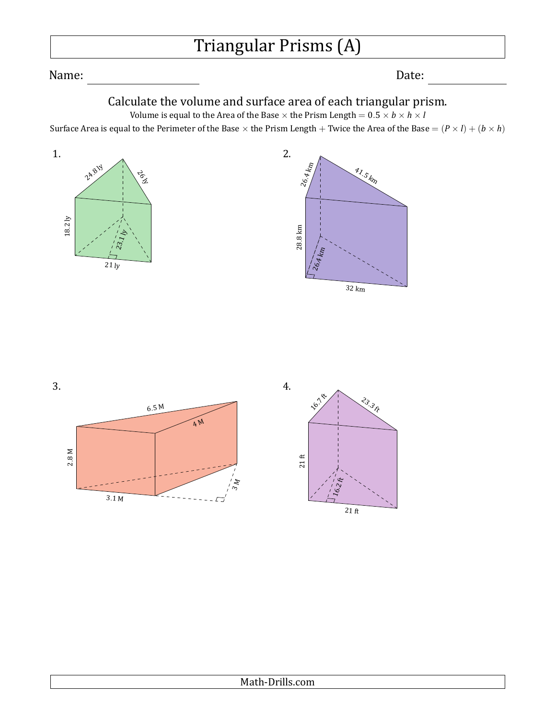## Triangular Prisms (A)

Name: Date:

## Calculate the volume and surface area of each triangular prism.

Volume is equal to the Area of the Base  $\times$  the Prism Length =  $0.5 \times b \times h \times l$ Surface Area is equal to the Perimeter of the Base  $\times$  the Prism Length + Twice the Area of the Base =  $(P \times I) + (b \times h)$